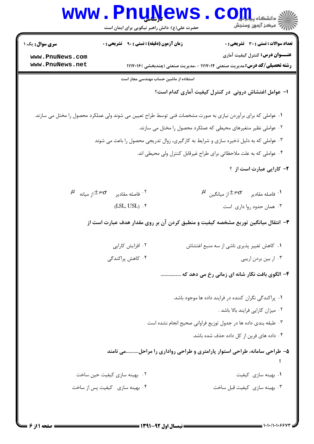|                                    | www.rnuwews<br>حضرت علی(ع): دانش راهبر نیکویی برای ایمان است                                                  | ی دانشگاه پی <mark>ا با یا</mark> ل<br>أأآله المركز آزمون وسنجش                                                              |
|------------------------------------|---------------------------------------------------------------------------------------------------------------|------------------------------------------------------------------------------------------------------------------------------|
| <b>سری سوال :</b> یک ۱             | <b>زمان آزمون (دقیقه) : تستی : 90 ٪ تشریحی : 0</b>                                                            | <b>تعداد سوالات : تستی : 30 ٪ تشریحی : 0</b>                                                                                 |
| www.PnuNews.com<br>www.PnuNews.net |                                                                                                               | <b>عنــــوان درس:</b> کنترل کیفیت آماری<br><b>رشته تحصیلی/کد درس:</b> مدیریت صنعتی ۱۱۱۷۰۱۴ - ،مدیریت صنعتی (چندبخشی )۱۱۱۷۰۱۶ |
|                                    | استفاده از ماشین حساب مهندسی مجاز است                                                                         |                                                                                                                              |
|                                    |                                                                                                               | ا– عوامل اغتشاش درونی ًدر کنترل کیفیت آماری کدام است؟                                                                        |
|                                    | ۰۱ عواملی که برای برآوردن نیازی به صورت مشخصات فنی توسط طراح تعیین می شوند ولی عملکرد محصول را مختل می سازند. |                                                                                                                              |
|                                    |                                                                                                               | ۰۲ عواملی نظیر متغیرهای محیطی که عملکرد محصول را مختل می سازند.                                                              |
|                                    | ۰۳ عواملی که به دلیل ذخیره سازی و شرایط به کارگیری، زوال تدریجی محصول را باعث می شوند                         |                                                                                                                              |
|                                    |                                                                                                               | ۰۴ عواملی که به علت ملاحظاتی برای طراح غیرقابل کنترل ولی محیطی اند.                                                          |
|                                    |                                                                                                               | ۲- کارایی عبارت است از ؟                                                                                                     |
|                                    | $\mu$ فاصله مقادیر $\pm$ ۳ $\sigma$ از میانه $^{\mathfrak{X}}$                                                | $^\mu$ فاصله مقادیر $^\pm$ ۳ $^\sigma$ از میانگین $^\mu$                                                                     |
|                                    | $(LSL, USL)$ . $\mathfrak k$                                                                                  | ۰۳ همان حدود روا داری است                                                                                                    |
|                                    |                                                                                                               | ۳- انتقال میانگین توریع مشخصه کیفیت و منطبق کردن آن بر روی مقدار هدف عبارت است از                                            |
|                                    | ۰۲ افزایش کارایی                                                                                              | ٠١ كاهش تغيير پذيري ناشي از سه منبع اغتشاش                                                                                   |
|                                    | ۰۴ کاهش پراکندگی                                                                                              | ۰۳ ار بین بردن اریبی                                                                                                         |
|                                    |                                                                                                               | ۴– الگوی بافت نگار شانه ای زمانی رخ می دهد که                                                                                |
|                                    |                                                                                                               | ۰۱ پراکندگی نگران کننده در فرایند داده ها موجود باشد.                                                                        |
|                                    |                                                                                                               | ۰۲ میزان کارایی فرایند بالا باشد .                                                                                           |
|                                    |                                                                                                               | ۰۳ طبقه بندی داده ها در جدول توزیع فراوانی صحیح انجام نشده است                                                               |
|                                    |                                                                                                               | ۰۴ داده های فرین از کل داده حذف شده باشد.                                                                                    |
|                                    |                                                                                                               | ۵– طراحی سامانه، طراحی استوار پارامتری و طراحی رواداری را مراحلمی نامند                                                      |
|                                    | ۰۲ بهینه سازی کیفیت حین ساخت                                                                                  | ۰۱ بهينه سازى كيفيت                                                                                                          |
|                                    | ۰۴ بهينه سازي كيفيت پس از ساخت                                                                                | ۰۳ بهينه سازى كيفيت قبل ساخت                                                                                                 |
|                                    |                                                                                                               |                                                                                                                              |
|                                    |                                                                                                               |                                                                                                                              |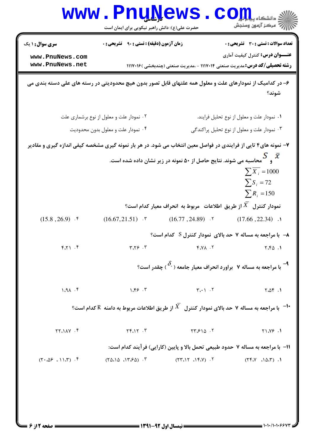|                                                              | <b>www.Pnu̯News</b><br>حضرت علی(ع): دانش راهبر نیکویی برای ایمان است                                            |                                                                                                                                                                                                                                                                            | $\mathop{\hbox{\rm\,}}\nolimits\hbox{\rm\,}\int_{\mathbb{R}}\prod_{\omega\in\mathbb{R}}\omega$<br>رآه مرکز آزمون وسنجش                                                       |
|--------------------------------------------------------------|-----------------------------------------------------------------------------------------------------------------|----------------------------------------------------------------------------------------------------------------------------------------------------------------------------------------------------------------------------------------------------------------------------|------------------------------------------------------------------------------------------------------------------------------------------------------------------------------|
| <b>سری سوال : ۱ یک</b><br>www.PnuNews.com<br>www.PnuNews.net | <b>زمان آزمون (دقیقه) : تستی : ۹۰٪ تشریحی : 0</b>                                                               |                                                                                                                                                                                                                                                                            | <b>تعداد سوالات : تستی : 30 ٪ تشریحی : 0</b><br><b>عنــــوان درس:</b> کنترل کیفیت آماری<br><b>رشته تحصیلی/کد درس:</b> مدیریت صنعتی ۱۱۱۷۰۱۴ - ،مدیریت صنعتی (چندبخشی )۱۱۱۷۰۱۶ |
|                                                              | ۶– در کدامیک از نمودارهای علت و معلول همه علتهای قابل تصور بدون هیچ محدودیتی در رسته های علی دسته بندی می       |                                                                                                                                                                                                                                                                            | شوند؟                                                                                                                                                                        |
|                                                              | ۰۲ نمودار علت و معلول از نوع برشماری علت<br>۰۴ نمودار علت و معلول بدون محدوديت                                  |                                                                                                                                                                                                                                                                            | ٠١ نمودار علت و معلول از نوع تحليل فرايند.<br>۰۳ نمودار علت و معلول از نوع تحلیل پراکندگی                                                                                    |
|                                                              | ۷– نمونه های۴ تایی از فرایندی در فواصل معین انتخاب می شود. در هر بار نمونه گیری مشخصه کیفی اندازه گیری و مقادیر | و $\begin{cases} \mathbf{X} \hspace{1mm} \mathbf{S} \hspace{1mm} \mathbf{X} \end{cases}$ و $\begin{cases} \mathbf{X} \hspace{1mm} \mathbf{S} \hspace{1mm} \mathbf{S} \end{cases}$ و $\begin{cases} \mathbf{X} \hspace{1mm} \mathbf{S} \hspace{1mm} \mathbf{S} \end{cases}$ | $\sum \overline{X_i} = 1000$<br>$\sum S_i = 72$<br>$\sum R_i = 150$                                                                                                          |
|                                                              |                                                                                                                 | نمودار كنترل $X$ از طريق اطلاعات مربوط به انحراف معيار كدام است؟                                                                                                                                                                                                           |                                                                                                                                                                              |
| $(15.8, 26.9)$ .                                             | $(16.67, 21.51)$ . \"                                                                                           | $(16.77, 24.89)$ ۲.                                                                                                                                                                                                                                                        | $(17.66, 22.34)$ .                                                                                                                                                           |
|                                                              |                                                                                                                 |                                                                                                                                                                                                                                                                            | → با مراجعه به مساله ۷ حد بالای نمودار کنترل S کدام است؟                                                                                                                     |
| 9.71.9                                                       | T.79.7                                                                                                          | $Y. Y \wedge .7$                                                                                                                                                                                                                                                           | $Y.F\Delta$ .                                                                                                                                                                |
|                                                              |                                                                                                                 |                                                                                                                                                                                                                                                                            | م است؟ ( $\delta_\circ$ براورد انحراف معیار جامعه ( $\delta_\circ$ ) چقدر است $^2$                                                                                           |
| 1.91.7                                                       | 1.99.7                                                                                                          | $T_{i+1}$ .                                                                                                                                                                                                                                                                | $Y \triangle Y$ .                                                                                                                                                            |
|                                                              | ا با مراجعه به مساله ۷ حد بالای نمودار کنترل $\overline{X}$ از طریق اطلاعات مربوط به دامنه $\,$ کدام است $^3$   |                                                                                                                                                                                                                                                                            |                                                                                                                                                                              |
| $YY \cap \Lambda V$ .                                        | Yf.1Y.7                                                                                                         | $\forall Y.510.7$                                                                                                                                                                                                                                                          | Y1.199.1                                                                                                                                                                     |
|                                                              |                                                                                                                 |                                                                                                                                                                                                                                                                            | اا− با مراجعه به مساله ۷ حدود طبیعی تحمل بالا و پایین (کارایی) فرآیند کدام است:                                                                                              |
| $(T \cdot \Delta \xi \cdot 11.7)$ .                          | $(70.10, 17.50)$ .                                                                                              | $(55.15 \times 15.7)$ .                                                                                                                                                                                                                                                    | (1.61, 1.61)                                                                                                                                                                 |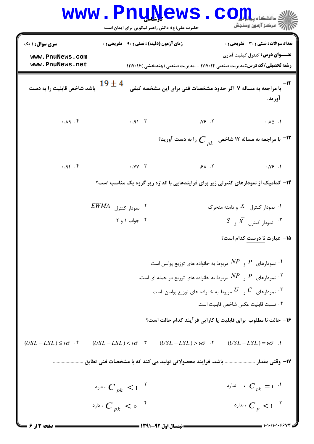|                                                              | <b>MMM • FUNTAGMP</b><br>حضرت علی(ع): دانش راهبر نیکویی برای ایمان است |                                                                                                 | CC<br>: دانشکاه پ <b>یا ب<sup>ا</sup> با<mark>ر</mark></b><br>رِ ۖ مرڪز آزمون وسنڊش |
|--------------------------------------------------------------|------------------------------------------------------------------------|-------------------------------------------------------------------------------------------------|-------------------------------------------------------------------------------------|
| <b>سری سوال : ۱ یک</b><br>www.PnuNews.com<br>www.PnuNews.net | <b>زمان آزمون (دقیقه) : تستی : ۹۰٪ تشریحی : 0</b>                      | <b>رشته تحصیلی/کد درس:</b> مدیریت صنعتی ۱۱۱۷۰۱۴ - ،مدیریت صنعتی (چندبخشی )۱۱۱۷۰۱۶               | تعداد سوالات : تستى : 30 ٪ تشريحي : 0<br><b>عنـــوان درس:</b> کنترل کیفیت آماری     |
| باشد شاخص قابلیت را به دست                                   | $19 \pm 4$                                                             | با مراجعه به مساله ۷ اگر حدود مشخصات فنی برای این مشخصه کیفی                                    | آوريد.                                                                              |
| 4.49                                                         | .91.7                                                                  | $\cdot$ $\sqrt{5}$ .                                                                            | $\cdot$ . $\wedge \wedge$                                                           |
|                                                              |                                                                        | ا مراجعه به مساله ۱۲ شاخص $\,\,\bm{\mathop C}\,_{pk}^{\phantom i}$ را به دست آورید $\,$         |                                                                                     |
| 9.99.7                                                       | $\cdot$ $\sqrt{V}$ .                                                   | $\cdot$ $\cdot$ $\cdot$ $\cdot$ $\cdot$ $\cdot$ $\cdot$                                         | $\cdot$ . $\sqrt{5}$                                                                |
|                                                              |                                                                        | ۱۴- کدامیک از نمودارهای کنترلی زیر برای فرایندهایی با اندازه زیر گروه یک مناسب است؟             |                                                                                     |
|                                                              | $EWMA$ نمودار كنترل $^{\circ}$                                         |                                                                                                 | $\,$ ۰۱ نمودار کنترل $\,$ $X$ و دامنه متحرک $\,$ ۰۱                                 |
|                                                              | ۰۴ جواب ۱ و ۲                                                          |                                                                                                 | $S$ ، نمودار کنترل $\overline{X}$ و $\overline{S}$                                  |
|                                                              |                                                                        |                                                                                                 | 15- عبارت نا درست کدام است؟                                                         |
|                                                              |                                                                        | $\cdot$ نمودارهای $P$ و $NP$ مربوط به خانواده های توزیع پواسن است $\cdot$                       |                                                                                     |
|                                                              |                                                                        | ۰۲ نمودارهای $P$ و $NP$ مربوط به خانواده های توزیع دو جمله ای است. $^\mathcal{R}$               |                                                                                     |
|                                                              |                                                                        | ۰۳ نمودارهای $\phantom{a}C$ و $\phantom{a}U$ مربوط به خانواده های توزیع پواسن است $\phantom{a}$ |                                                                                     |
|                                                              |                                                                        |                                                                                                 | ۰۴ نسبت قابليت عكس شاخص قابليت است.                                                 |
|                                                              |                                                                        | ۱۶– حالت نا مطلوب  برای قابلیت یا کارایی فرآیند کدام حالت است؟                                  |                                                                                     |
| $(USL-LSL) \leq 5\sigma$ .                                   | $(USL-LSL) < \varepsilon \sigma$ .                                     | $(USL-LSL) > 5\sigma$ $\cdot$ $(USL-LSL) = 5\sigma$ $\cdot$ $\cdot$                             |                                                                                     |
|                                                              |                                                                        |                                                                                                 |                                                                                     |
|                                                              | دارد $C_{pk}$ $<$ 1 $<$                                                |                                                                                                 | ۰ ندارد $C_{pk} = 1$ ۰ $\frac{1}{2}$                                                |
|                                                              | دارد $C_{pk} < \frac{1}{2}$                                            |                                                                                                 | ندارد $C_p < 1$                                                                     |
| صفحه ۱۳ز ۶                                                   |                                                                        | == نیمسال اول 92-1391 ==                                                                        | = 1・1・/1・1・۶۶۷۳                                                                     |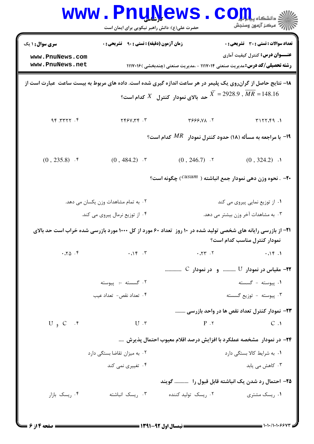|                                    | <b>WWW.PNUNEWS</b><br>حضرت علی(ع): دانش راهبر نیکویی برای ایمان است |                                                                                                                                                                                                                                                                                                                                                                                                                                                                                                                                                                                                                                                                                                                                                                                                                                                                                                                                                                                                                                                                                                                                                            | $\mathbf{CO}_{\mathbf{H}}$ i - انشکاه پا $\mathbf{H}$<br>رِ ۖ مرڪز آزمون وسنڊش |
|------------------------------------|---------------------------------------------------------------------|------------------------------------------------------------------------------------------------------------------------------------------------------------------------------------------------------------------------------------------------------------------------------------------------------------------------------------------------------------------------------------------------------------------------------------------------------------------------------------------------------------------------------------------------------------------------------------------------------------------------------------------------------------------------------------------------------------------------------------------------------------------------------------------------------------------------------------------------------------------------------------------------------------------------------------------------------------------------------------------------------------------------------------------------------------------------------------------------------------------------------------------------------------|--------------------------------------------------------------------------------|
| <b>سری سوال : ۱ یک</b>             | <b>زمان آزمون (دقیقه) : تستی : 90 ٪ تشریحی : 0</b>                  |                                                                                                                                                                                                                                                                                                                                                                                                                                                                                                                                                                                                                                                                                                                                                                                                                                                                                                                                                                                                                                                                                                                                                            | تعداد سوالات : تستي : 30 ٪ تشريحي : 0                                          |
| www.PnuNews.com<br>www.PnuNews.net |                                                                     | <b>عنـــوان درس:</b> کنترل کیفیت آماری<br><b>رشته تحصیلی/کد درس: م</b> دیریت صنعتی ۱۱۱۷۰۱۴ - ،مدیریت صنعتی (چندبخشی )۱۱۱۷۰۱۶<br>۱۸- نتایج حاصل از گرانروی یک پلیمر در هر ساعت اندازه گیری شده است. داده های مربوط به بیست ساعت عبارت است از<br>928.9 $\overline{MR} = 148.16$ حد بالای نمودار کنترل $X$ کدام است $X$<br>7. XYS997<br>T157.59.1<br>ا با مراجعه به مسأله (۱۸) حدود کنترل نمودار $\emph{MR}$ کدام است؟<br>$(0, 246.7)$ . Y<br>$(0, 324.2)$ .<br>-۲۰ - نحوه وزن دهی نمودار جمع انباشته ( $\mathcal{C}^{USUM}$ ) چگونه است؟<br>۰۱ از توزیع نمایی پیروی می کند<br>۰۳ به مشاهدات آخر وزن بیشتر می دهد.<br><b>۲۱</b> – از بازرسی رایانه های شخصی تولید شده در ۱۰ روز تعداد ۶۰ مورد از کل ۱۰۰۰ مورد بازرسی شده خراب است حد بالای<br>نمودار کنترل مناسب کدام است؟<br>7.777.7<br>.15.1<br><b>۲۲-</b> مقیاس در نمودار ${\rm U}$ و در نمودار C<br>۰۱ ييوسته - گسسته<br>۰۳ پیوسته - توزیع گسسته<br>۲۳– نمودار کنترل تعداد نقص ها در واحد بازرسی<br>$P \cdot Y$<br>C.1<br>۲۴- در نمودار ۖ مشخصه عملکرد با افزایش درصد اقلام معیوب احتمال پذیرش<br>۰۱ به شرایط کالا بستگی دارد<br>۰۳ کاهش می یابد<br>۲۵– احتمال رد شدن یک انباشته قابل قبول را پیسست گویند |                                                                                |
|                                    |                                                                     |                                                                                                                                                                                                                                                                                                                                                                                                                                                                                                                                                                                                                                                                                                                                                                                                                                                                                                                                                                                                                                                                                                                                                            |                                                                                |
| 9.7777.99                          | T. 779777                                                           |                                                                                                                                                                                                                                                                                                                                                                                                                                                                                                                                                                                                                                                                                                                                                                                                                                                                                                                                                                                                                                                                                                                                                            |                                                                                |
|                                    |                                                                     |                                                                                                                                                                                                                                                                                                                                                                                                                                                                                                                                                                                                                                                                                                                                                                                                                                                                                                                                                                                                                                                                                                                                                            |                                                                                |
| $(0, 235.8)$ . $\ell$              | $(0, 484.2)$ . \"                                                   |                                                                                                                                                                                                                                                                                                                                                                                                                                                                                                                                                                                                                                                                                                                                                                                                                                                                                                                                                                                                                                                                                                                                                            |                                                                                |
|                                    |                                                                     |                                                                                                                                                                                                                                                                                                                                                                                                                                                                                                                                                                                                                                                                                                                                                                                                                                                                                                                                                                                                                                                                                                                                                            |                                                                                |
|                                    | ۰۲ به تمام مشاهدات وزن یکسان می دهد.                                |                                                                                                                                                                                                                                                                                                                                                                                                                                                                                                                                                                                                                                                                                                                                                                                                                                                                                                                                                                                                                                                                                                                                                            |                                                                                |
|                                    | ۰۴ از توزیع نرمال پیروی می کند.                                     |                                                                                                                                                                                                                                                                                                                                                                                                                                                                                                                                                                                                                                                                                                                                                                                                                                                                                                                                                                                                                                                                                                                                                            |                                                                                |
|                                    |                                                                     |                                                                                                                                                                                                                                                                                                                                                                                                                                                                                                                                                                                                                                                                                                                                                                                                                                                                                                                                                                                                                                                                                                                                                            |                                                                                |
| .70.9                              | $\cdot \cdot \cdot$ $\cdot$ $\cdot$ $\cdot$ $\cdot$ $\cdot$         |                                                                                                                                                                                                                                                                                                                                                                                                                                                                                                                                                                                                                                                                                                                                                                                                                                                                                                                                                                                                                                                                                                                                                            |                                                                                |
|                                    |                                                                     |                                                                                                                                                                                                                                                                                                                                                                                                                                                                                                                                                                                                                                                                                                                                                                                                                                                                                                                                                                                                                                                                                                                                                            |                                                                                |
|                                    | ۰۲ گسسته –: پیوسته                                                  |                                                                                                                                                                                                                                                                                                                                                                                                                                                                                                                                                                                                                                                                                                                                                                                                                                                                                                                                                                                                                                                                                                                                                            |                                                                                |
|                                    | ۰۴ تعداد نقص- تعداد عيب                                             |                                                                                                                                                                                                                                                                                                                                                                                                                                                                                                                                                                                                                                                                                                                                                                                                                                                                                                                                                                                                                                                                                                                                                            |                                                                                |
|                                    |                                                                     |                                                                                                                                                                                                                                                                                                                                                                                                                                                                                                                                                                                                                                                                                                                                                                                                                                                                                                                                                                                                                                                                                                                                                            |                                                                                |
| $U$ , $C$ $\cdot$ $\cdot$          | $U \cdot r$                                                         |                                                                                                                                                                                                                                                                                                                                                                                                                                                                                                                                                                                                                                                                                                                                                                                                                                                                                                                                                                                                                                                                                                                                                            |                                                                                |
|                                    |                                                                     |                                                                                                                                                                                                                                                                                                                                                                                                                                                                                                                                                                                                                                                                                                                                                                                                                                                                                                                                                                                                                                                                                                                                                            |                                                                                |
|                                    | ۰۲ به میزان تقاضا بستگی دارد                                        |                                                                                                                                                                                                                                                                                                                                                                                                                                                                                                                                                                                                                                                                                                                                                                                                                                                                                                                                                                                                                                                                                                                                                            |                                                                                |
|                                    | ۰۴ تغییری نمی کند                                                   |                                                                                                                                                                                                                                                                                                                                                                                                                                                                                                                                                                                                                                                                                                                                                                                                                                                                                                                                                                                                                                                                                                                                                            |                                                                                |
|                                    |                                                                     |                                                                                                                                                                                                                                                                                                                                                                                                                                                                                                                                                                                                                                                                                                                                                                                                                                                                                                                                                                                                                                                                                                                                                            |                                                                                |
| ۰۴ ریسک بازار                      | ۰۳ ریسک انباشته                                                     | ۰۲ ریسک تولید کننده                                                                                                                                                                                                                                                                                                                                                                                                                                                                                                                                                                                                                                                                                                                                                                                                                                                                                                                                                                                                                                                                                                                                        | ۰۱ ریسک مشتری                                                                  |
|                                    |                                                                     |                                                                                                                                                                                                                                                                                                                                                                                                                                                                                                                                                                                                                                                                                                                                                                                                                                                                                                                                                                                                                                                                                                                                                            |                                                                                |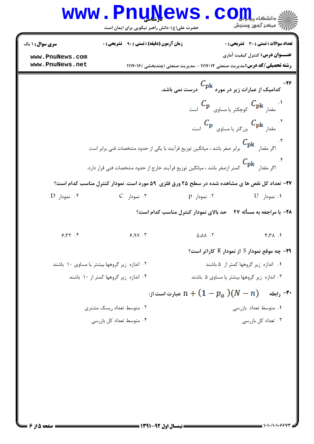|                                    | <b>www.PnuNews</b><br>حضرت علی(ع): دانش راهبر نیکویی برای ایمان است                                                |                                        | $\mathbf{CO}_{\mathbf{H}_{\mathbf{u}}}$ و انشکاه پی<br>أأأ مركز آزمون وسنجش            |
|------------------------------------|--------------------------------------------------------------------------------------------------------------------|----------------------------------------|----------------------------------------------------------------------------------------|
| <b>سری سوال : ۱ یک</b>             | <b>زمان آزمون (دقیقه) : تستی : ۹۰ قشریحی : 0</b>                                                                   |                                        | <b>تعداد سوالات : تستی : 30 ٪ تشریحی : 0</b><br><b>عنـــوان درس:</b> کنترل کیفیت آماری |
| www.PnuNews.com<br>www.PnuNews.net |                                                                                                                    |                                        | <b>رشته تحصیلی/کد درس:</b> مدیریت صنعتی ۱۱۱۷۰۱۴ - ،مدیریت صنعتی (چندبخشی )۱۱۱۷۰۱۶      |
|                                    |                                                                                                                    |                                        | ۳۶–<br>کدامیک از عبارات زیر در مورد $\frac{C_{\rm pk}}{2}$ درست نمی باشد.              |
|                                    |                                                                                                                    |                                        | $C_{\bf p}$ مقدار $C_{\bf pk}$ کوچکتر یا مساوی $C_{\bf pk}$ است $\epsilon$             |
|                                    |                                                                                                                    |                                        | $C_{\mathbf{p}}$ مقدار $C_{\mathbf{p}\mathbf{k}}$ بزرگتر یا مساوی $C_{\mathbf{p}}$ است |
|                                    | ۰۳ .<br>اگر مقدار $\mathcal{C}_{\rm pk}$ برابر صفر باشد ، میانگین توزیع فرآیند با یکی از حدود مشخصات فنی برابر است |                                        |                                                                                        |
|                                    | ۰۴<br>اگر مقدار $\bm{C}_{{\rm \bf pk}}$ کمتر ازصفر باشد ، میانگین توزیع فرآیند خارج از حدود مشخصات فنی قرار دارد.  |                                        |                                                                                        |
|                                    | 37- تعداد کل نقص ها ی مشاهده شده در سطح ۲۵ ورق فلزی ۵۹ مورد است. نمودار کنترل مناسب کدام است؟                      |                                        |                                                                                        |
| ۰۴ نمودار D                        | $C_{\text{ideal}}$ ۰۳ نمودار $\cdot$                                                                               | ۰۲ نمودار p                            | ۰۱ نمودار U                                                                            |
|                                    |                                                                                                                    |                                        | ۲۸- با مراجعه به مسأله ۲۷ - حد بالای نمودار کنترل مناسب کدام است؟                      |
| 9.77.9                             | 9.9V.7                                                                                                             | $\Delta \cdot \Lambda \Lambda \cdot Y$ | $f.7\lambda.1$                                                                         |
|                                    |                                                                                                                    |                                        | <b>۲۹</b> - چه موقع نمودار S از نمودار R کاراتر است؟                                   |
|                                    | ۰۲ اندازه زیر گروهها بیشتر یا مساوی ۱۰ باشند                                                                       |                                        | ٠١ اندازه زير گروهها كمتر از ۵ باشند                                                   |
|                                    | ۰۴ اندازه زیر گروهها کمتر از ۱۰ باشند                                                                              |                                        | ۰۳ اندازه زیر گروهها بیشتر یا مساوی ۵ باشند                                            |
|                                    |                                                                                                                    |                                        | رابطه $(N-n)$ (M – $n$ ) مبارت است از $\cdot$                                          |
|                                    | ۰۲ متوسط تعداد ریسک مشتری                                                                                          |                                        | ۰۱ متوسط تعداد بازرسی                                                                  |
|                                    | ۰۴ متوسط تعداد کل بازرسی                                                                                           |                                        | ۰۳ تعداد کل بازرسی                                                                     |
|                                    |                                                                                                                    |                                        |                                                                                        |
|                                    |                                                                                                                    |                                        |                                                                                        |
|                                    |                                                                                                                    |                                        |                                                                                        |
|                                    |                                                                                                                    |                                        |                                                                                        |
|                                    |                                                                                                                    |                                        |                                                                                        |